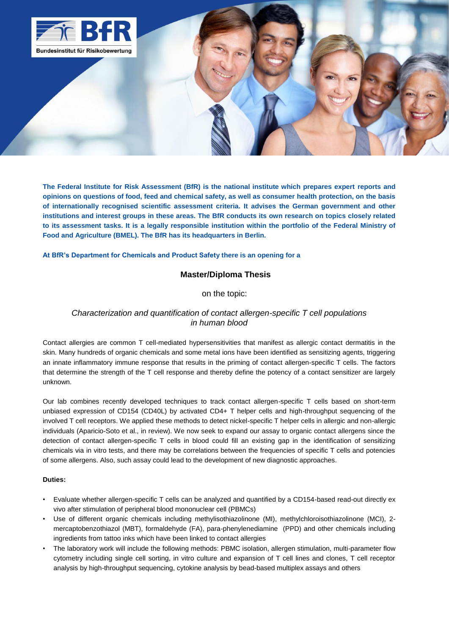

**The Federal Institute for Risk Assessment (BfR) is the national institute which prepares expert reports and opinions on questions of food, feed and chemical safety, as well as consumer health protection, on the basis of internationally recognised scientific assessment criteria. It advises the German government and other institutions and interest groups in these areas. The BfR conducts its own research on topics closely related to its assessment tasks. It is a legally responsible institution within the portfolio of the Federal Ministry of Food and Agriculture (BMEL). The BfR has its headquarters in Berlin.**

## **At BfR's Department for Chemicals and Product Safety there is an opening for a**

## **Master/Diploma Thesis**

## on the topic:

# *Characterization and quantification of contact allergen-specific T cell populations in human blood*

Contact allergies are common T cell-mediated hypersensitivities that manifest as allergic contact dermatitis in the skin. Many hundreds of organic chemicals and some metal ions have been identified as sensitizing agents, triggering an innate inflammatory immune response that results in the priming of contact allergen-specific T cells. The factors that determine the strength of the T cell response and thereby define the potency of a contact sensitizer are largely unknown.

Our lab combines recently developed techniques to track contact allergen-specific T cells based on short-term unbiased expression of CD154 (CD40L) by activated CD4+ T helper cells and high-throughput sequencing of the involved T cell receptors. We applied these methods to detect nickel-specific T helper cells in allergic and non-allergic individuals (Aparicio-Soto et al., in review). We now seek to expand our assay to organic contact allergens since the detection of contact allergen-specific T cells in blood could fill an existing gap in the identification of sensitizing chemicals via in vitro tests, and there may be correlations between the frequencies of specific T cells and potencies of some allergens. Also, such assay could lead to the development of new diagnostic approaches.

#### **Duties:**

- Evaluate whether allergen-specific T cells can be analyzed and quantified by a CD154-based read-out directly ex vivo after stimulation of peripheral blood mononuclear cell (PBMCs)
- Use of different organic chemicals including methylisothiazolinone (MI), methylchloroisothiazolinone (MCI), 2 mercaptobenzothiazol (MBT), formaldehyde (FA), para-phenylenediamine (PPD) and other chemicals including ingredients from tattoo inks which have been linked to contact allergies
- The laboratory work will include the following methods: PBMC isolation, allergen stimulation, multi-parameter flow cytometry including single cell sorting, in vitro culture and expansion of T cell lines and clones, T cell receptor analysis by high-throughput sequencing, cytokine analysis by bead-based multiplex assays and others